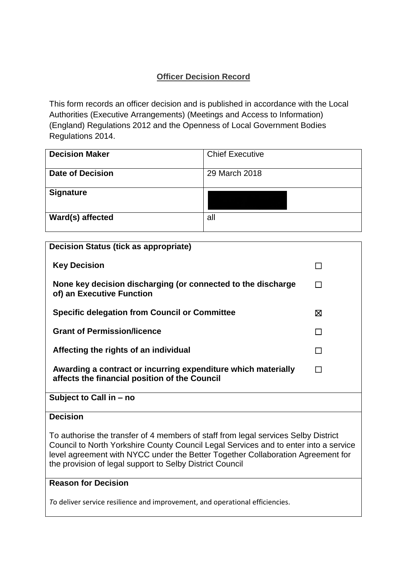### **Officer Decision Record**

This form records an officer decision and is published in accordance with the Local Authorities (Executive Arrangements) (Meetings and Access to Information) (England) Regulations 2012 and the Openness of Local Government Bodies Regulations 2014.

| <b>Decision Maker</b>   | <b>Chief Executive</b> |
|-------------------------|------------------------|
| <b>Date of Decision</b> | 29 March 2018          |
| <b>Signature</b>        |                        |
| Ward(s) affected        | all                    |

| <b>Decision Status (tick as appropriate)</b>                                                                                                                                                                                                                                                                              |              |  |
|---------------------------------------------------------------------------------------------------------------------------------------------------------------------------------------------------------------------------------------------------------------------------------------------------------------------------|--------------|--|
| <b>Key Decision</b>                                                                                                                                                                                                                                                                                                       | $\mathbf{r}$ |  |
| None key decision discharging (or connected to the discharge<br>of) an Executive Function                                                                                                                                                                                                                                 | П            |  |
| <b>Specific delegation from Council or Committee</b>                                                                                                                                                                                                                                                                      | ⊠            |  |
| <b>Grant of Permission/licence</b>                                                                                                                                                                                                                                                                                        | $\Box$       |  |
| Affecting the rights of an individual                                                                                                                                                                                                                                                                                     | $\mathsf{L}$ |  |
| Awarding a contract or incurring expenditure which materially<br>affects the financial position of the Council                                                                                                                                                                                                            | П            |  |
| Subject to Call in - no                                                                                                                                                                                                                                                                                                   |              |  |
| <b>Decision</b>                                                                                                                                                                                                                                                                                                           |              |  |
| To authorise the transfer of 4 members of staff from legal services Selby District<br>Council to North Yorkshire County Council Legal Services and to enter into a service<br>level agreement with NYCC under the Better Together Collaboration Agreement for<br>the provision of legal support to Selby District Council |              |  |

## **Reason for Decision**

*T*o deliver service resilience and improvement, and operational efficiencies.